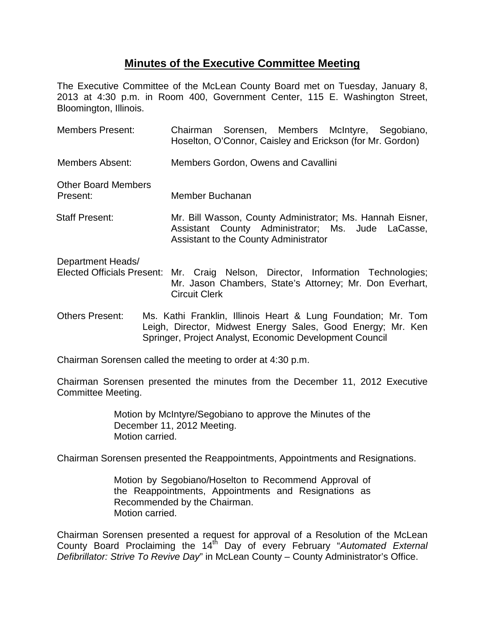## **Minutes of the Executive Committee Meeting**

The Executive Committee of the McLean County Board met on Tuesday, January 8, 2013 at 4:30 p.m. in Room 400, Government Center, 115 E. Washington Street, Bloomington, Illinois.

| <b>Members Present:</b>                                | Chairman Sorensen, Members McIntyre, Segobiano,<br>Hoselton, O'Connor, Caisley and Erickson (for Mr. Gordon)                                            |
|--------------------------------------------------------|---------------------------------------------------------------------------------------------------------------------------------------------------------|
| Members Absent:                                        | Members Gordon, Owens and Cavallini                                                                                                                     |
| <b>Other Board Members</b><br>Present:                 | Member Buchanan                                                                                                                                         |
| <b>Staff Present:</b>                                  | Mr. Bill Wasson, County Administrator; Ms. Hannah Eisner,<br>Assistant County Administrator; Ms. Jude LaCasse,<br>Assistant to the County Administrator |
| Department Heads/<br><b>Elected Officials Present:</b> | Mr. Craig Nelson, Director, Information Technologies;<br>Mr. Jason Chambers, State's Attorney; Mr. Don Everhart,<br><b>Circuit Clerk</b>                |

Others Present: Ms. Kathi Franklin, Illinois Heart & Lung Foundation; Mr. Tom Leigh, Director, Midwest Energy Sales, Good Energy; Mr. Ken Springer, Project Analyst, Economic Development Council

Chairman Sorensen called the meeting to order at 4:30 p.m.

Chairman Sorensen presented the minutes from the December 11, 2012 Executive Committee Meeting.

> Motion by McIntyre/Segobiano to approve the Minutes of the December 11, 2012 Meeting. Motion carried.

Chairman Sorensen presented the Reappointments, Appointments and Resignations.

Motion by Segobiano/Hoselton to Recommend Approval of the Reappointments, Appointments and Resignations as Recommended by the Chairman. Motion carried.

Chairman Sorensen presented a request for approval of a Resolution of the McLean County Board Proclaiming the 14<sup>th</sup> Day of every February "Automated External *Defibrillator: Strive To Revive Day*" in McLean County – County Administrator's Office.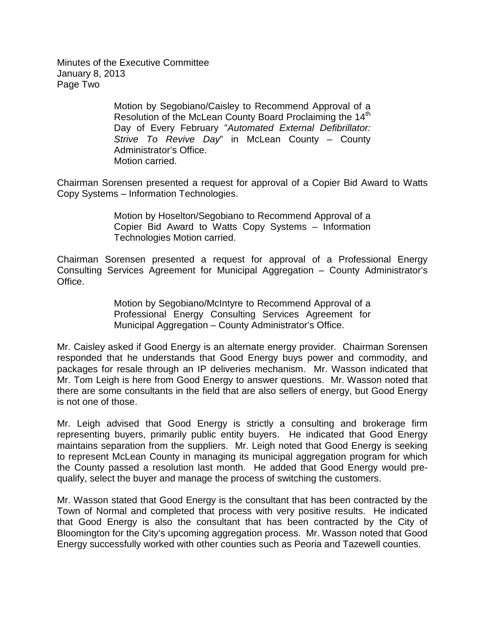Minutes of the Executive Committee January 8, 2013 Page Two

> Motion by Segobiano/Caisley to Recommend Approval of a Resolution of the McLean County Board Proclaiming the 14<sup>th</sup> Day of Every February "*Automated External Defibrillator: Strive To Revive Day*" in McLean County – County Administrator's Office. Motion carried.

Chairman Sorensen presented a request for approval of a Copier Bid Award to Watts Copy Systems – Information Technologies.

> Motion by Hoselton/Segobiano to Recommend Approval of a Copier Bid Award to Watts Copy Systems – Information Technologies Motion carried.

Chairman Sorensen presented a request for approval of a Professional Energy Consulting Services Agreement for Municipal Aggregation – County Administrator's Office.

> Motion by Segobiano/McIntyre to Recommend Approval of a Professional Energy Consulting Services Agreement for Municipal Aggregation – County Administrator's Office.

Mr. Caisley asked if Good Energy is an alternate energy provider. Chairman Sorensen responded that he understands that Good Energy buys power and commodity, and packages for resale through an IP deliveries mechanism. Mr. Wasson indicated that Mr. Tom Leigh is here from Good Energy to answer questions. Mr. Wasson noted that there are some consultants in the field that are also sellers of energy, but Good Energy is not one of those.

Mr. Leigh advised that Good Energy is strictly a consulting and brokerage firm representing buyers, primarily public entity buyers. He indicated that Good Energy maintains separation from the suppliers. Mr. Leigh noted that Good Energy is seeking to represent McLean County in managing its municipal aggregation program for which the County passed a resolution last month. He added that Good Energy would prequalify, select the buyer and manage the process of switching the customers.

Mr. Wasson stated that Good Energy is the consultant that has been contracted by the Town of Normal and completed that process with very positive results. He indicated that Good Energy is also the consultant that has been contracted by the City of Bloomington for the City's upcoming aggregation process. Mr. Wasson noted that Good Energy successfully worked with other counties such as Peoria and Tazewell counties.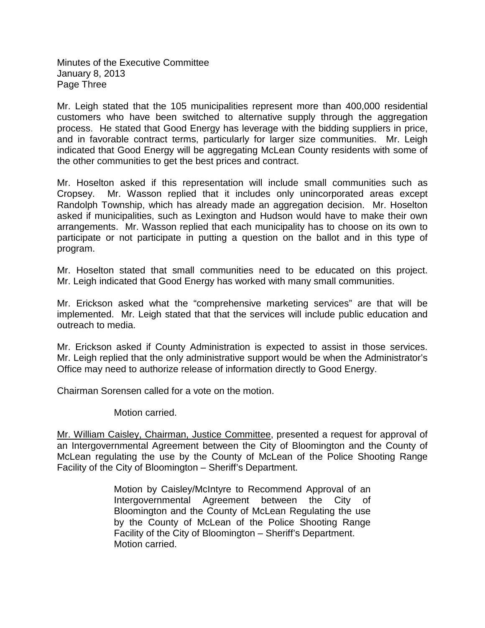Minutes of the Executive Committee January 8, 2013 Page Three

Mr. Leigh stated that the 105 municipalities represent more than 400,000 residential customers who have been switched to alternative supply through the aggregation process. He stated that Good Energy has leverage with the bidding suppliers in price, and in favorable contract terms, particularly for larger size communities. Mr. Leigh indicated that Good Energy will be aggregating McLean County residents with some of the other communities to get the best prices and contract.

Mr. Hoselton asked if this representation will include small communities such as Cropsey. Mr. Wasson replied that it includes only unincorporated areas except Randolph Township, which has already made an aggregation decision. Mr. Hoselton asked if municipalities, such as Lexington and Hudson would have to make their own arrangements. Mr. Wasson replied that each municipality has to choose on its own to participate or not participate in putting a question on the ballot and in this type of program.

Mr. Hoselton stated that small communities need to be educated on this project. Mr. Leigh indicated that Good Energy has worked with many small communities.

Mr. Erickson asked what the "comprehensive marketing services" are that will be implemented. Mr. Leigh stated that that the services will include public education and outreach to media.

Mr. Erickson asked if County Administration is expected to assist in those services. Mr. Leigh replied that the only administrative support would be when the Administrator's Office may need to authorize release of information directly to Good Energy.

Chairman Sorensen called for a vote on the motion.

Motion carried.

Mr. William Caisley, Chairman, Justice Committee, presented a request for approval of an Intergovernmental Agreement between the City of Bloomington and the County of McLean regulating the use by the County of McLean of the Police Shooting Range Facility of the City of Bloomington – Sheriff's Department.

> Motion by Caisley/McIntyre to Recommend Approval of an Intergovernmental Agreement between the City of Bloomington and the County of McLean Regulating the use by the County of McLean of the Police Shooting Range Facility of the City of Bloomington – Sheriff's Department. Motion carried.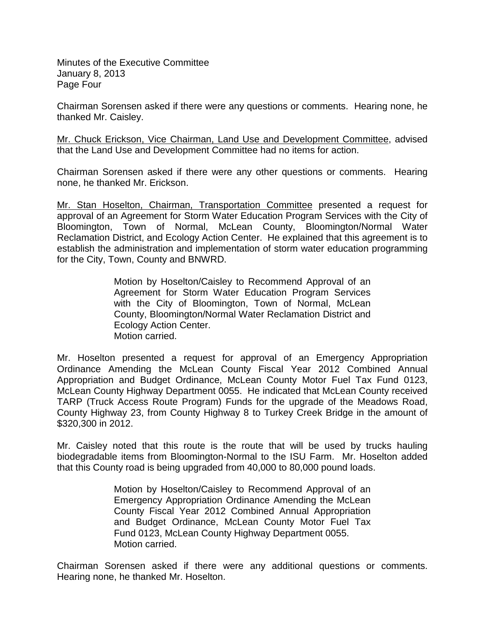Minutes of the Executive Committee January 8, 2013 Page Four

Chairman Sorensen asked if there were any questions or comments. Hearing none, he thanked Mr. Caisley.

Mr. Chuck Erickson, Vice Chairman, Land Use and Development Committee, advised that the Land Use and Development Committee had no items for action.

Chairman Sorensen asked if there were any other questions or comments. Hearing none, he thanked Mr. Erickson.

Mr. Stan Hoselton, Chairman, Transportation Committee presented a request for approval of an Agreement for Storm Water Education Program Services with the City of Bloomington, Town of Normal, McLean County, Bloomington/Normal Water Reclamation District, and Ecology Action Center. He explained that this agreement is to establish the administration and implementation of storm water education programming for the City, Town, County and BNWRD.

> Motion by Hoselton/Caisley to Recommend Approval of an Agreement for Storm Water Education Program Services with the City of Bloomington, Town of Normal, McLean County, Bloomington/Normal Water Reclamation District and Ecology Action Center. Motion carried.

Mr. Hoselton presented a request for approval of an Emergency Appropriation Ordinance Amending the McLean County Fiscal Year 2012 Combined Annual Appropriation and Budget Ordinance, McLean County Motor Fuel Tax Fund 0123, McLean County Highway Department 0055. He indicated that McLean County received TARP (Truck Access Route Program) Funds for the upgrade of the Meadows Road, County Highway 23, from County Highway 8 to Turkey Creek Bridge in the amount of \$320,300 in 2012.

Mr. Caisley noted that this route is the route that will be used by trucks hauling biodegradable items from Bloomington-Normal to the ISU Farm. Mr. Hoselton added that this County road is being upgraded from 40,000 to 80,000 pound loads.

> Motion by Hoselton/Caisley to Recommend Approval of an Emergency Appropriation Ordinance Amending the McLean County Fiscal Year 2012 Combined Annual Appropriation and Budget Ordinance, McLean County Motor Fuel Tax Fund 0123, McLean County Highway Department 0055. Motion carried.

Chairman Sorensen asked if there were any additional questions or comments. Hearing none, he thanked Mr. Hoselton.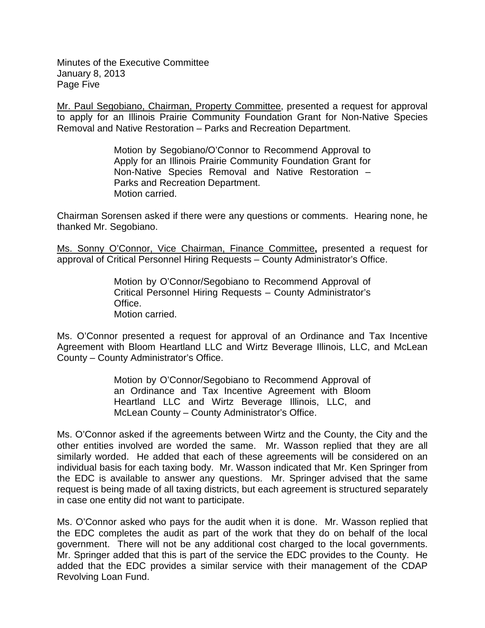Minutes of the Executive Committee January 8, 2013 Page Five

Mr. Paul Segobiano, Chairman, Property Committee, presented a request for approval to apply for an Illinois Prairie Community Foundation Grant for Non-Native Species Removal and Native Restoration – Parks and Recreation Department.

> Motion by Segobiano/O'Connor to Recommend Approval to Apply for an Illinois Prairie Community Foundation Grant for Non-Native Species Removal and Native Restoration – Parks and Recreation Department. Motion carried.

Chairman Sorensen asked if there were any questions or comments. Hearing none, he thanked Mr. Segobiano.

Ms. Sonny O'Connor, Vice Chairman, Finance Committee**,** presented a request for approval of Critical Personnel Hiring Requests – County Administrator's Office.

> Motion by O'Connor/Segobiano to Recommend Approval of Critical Personnel Hiring Requests – County Administrator's Office. Motion carried.

Ms. O'Connor presented a request for approval of an Ordinance and Tax Incentive Agreement with Bloom Heartland LLC and Wirtz Beverage Illinois, LLC, and McLean County – County Administrator's Office.

> Motion by O'Connor/Segobiano to Recommend Approval of an Ordinance and Tax Incentive Agreement with Bloom Heartland LLC and Wirtz Beverage Illinois, LLC, and McLean County – County Administrator's Office.

Ms. O'Connor asked if the agreements between Wirtz and the County, the City and the other entities involved are worded the same. Mr. Wasson replied that they are all similarly worded. He added that each of these agreements will be considered on an individual basis for each taxing body. Mr. Wasson indicated that Mr. Ken Springer from the EDC is available to answer any questions. Mr. Springer advised that the same request is being made of all taxing districts, but each agreement is structured separately in case one entity did not want to participate.

Ms. O'Connor asked who pays for the audit when it is done. Mr. Wasson replied that the EDC completes the audit as part of the work that they do on behalf of the local government. There will not be any additional cost charged to the local governments. Mr. Springer added that this is part of the service the EDC provides to the County. He added that the EDC provides a similar service with their management of the CDAP Revolving Loan Fund.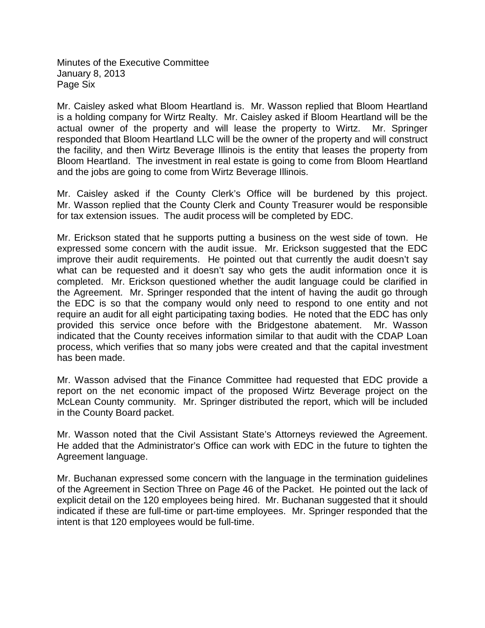Minutes of the Executive Committee January 8, 2013 Page Six

Mr. Caisley asked what Bloom Heartland is. Mr. Wasson replied that Bloom Heartland is a holding company for Wirtz Realty. Mr. Caisley asked if Bloom Heartland will be the actual owner of the property and will lease the property to Wirtz. Mr. Springer responded that Bloom Heartland LLC will be the owner of the property and will construct the facility, and then Wirtz Beverage Illinois is the entity that leases the property from Bloom Heartland. The investment in real estate is going to come from Bloom Heartland and the jobs are going to come from Wirtz Beverage Illinois.

Mr. Caisley asked if the County Clerk's Office will be burdened by this project. Mr. Wasson replied that the County Clerk and County Treasurer would be responsible for tax extension issues. The audit process will be completed by EDC.

Mr. Erickson stated that he supports putting a business on the west side of town. He expressed some concern with the audit issue. Mr. Erickson suggested that the EDC improve their audit requirements. He pointed out that currently the audit doesn't say what can be requested and it doesn't say who gets the audit information once it is completed. Mr. Erickson questioned whether the audit language could be clarified in the Agreement. Mr. Springer responded that the intent of having the audit go through the EDC is so that the company would only need to respond to one entity and not require an audit for all eight participating taxing bodies. He noted that the EDC has only provided this service once before with the Bridgestone abatement. Mr. Wasson indicated that the County receives information similar to that audit with the CDAP Loan process, which verifies that so many jobs were created and that the capital investment has been made.

Mr. Wasson advised that the Finance Committee had requested that EDC provide a report on the net economic impact of the proposed Wirtz Beverage project on the McLean County community. Mr. Springer distributed the report, which will be included in the County Board packet.

Mr. Wasson noted that the Civil Assistant State's Attorneys reviewed the Agreement. He added that the Administrator's Office can work with EDC in the future to tighten the Agreement language.

Mr. Buchanan expressed some concern with the language in the termination guidelines of the Agreement in Section Three on Page 46 of the Packet. He pointed out the lack of explicit detail on the 120 employees being hired. Mr. Buchanan suggested that it should indicated if these are full-time or part-time employees. Mr. Springer responded that the intent is that 120 employees would be full-time.